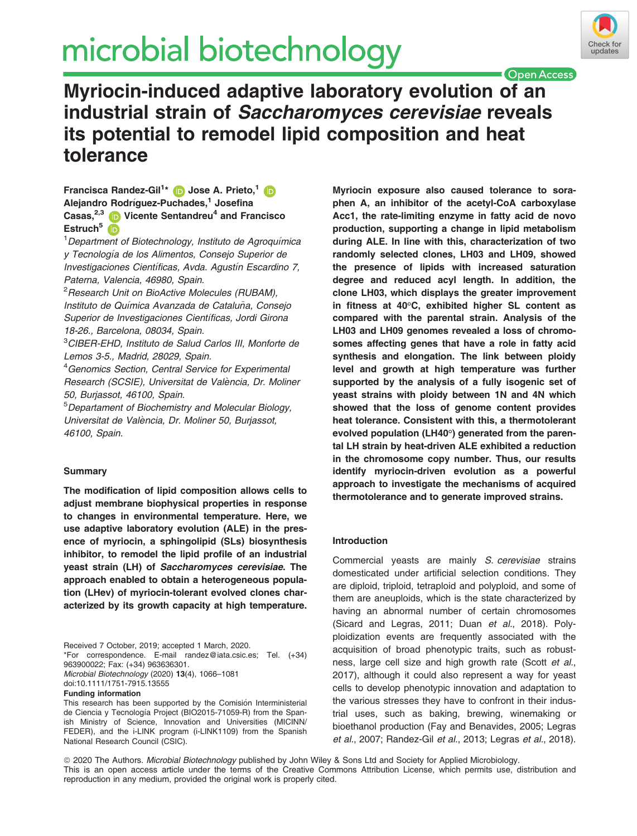# microbial biotechnology



**Open Access** Myriocin-induced adaptive laboratory evolution of an industrial strain of Saccharomyces cerevisiae reveals its potential to remodel lipid composition and heat tolerance

Francisca Randez-Gil<sup>1[\\*](https://orcid.org/0000-0001-8217-3156)</sup> D Jose A. Prieto,<sup>[1](https://orcid.org/0000-0001-9677-0023)</sup> Alejandro Rodríguez-Puchades,<sup>1</sup> Josefina Casas, $2,3$  $2,3$  D Vicente Sentandreu<sup>4</sup> and Francisco Estruch<sup>[5](https://orcid.org/0000-0003-3466-7957)</sup>

<sup>1</sup> Department of Biotechnology, Instituto de Agroquímica y Tecnología de los Alimentos, Consejo Superior de Investigaciones Científicas, Avda. Agustín Escardino 7, Paterna, Valencia, 46980, Spain.

<sup>2</sup> Research Unit on BioActive Molecules (RUBAM), Instituto de Química Avanzada de Cataluña, Consejo Superior de Investigaciones Científicas, Jordi Girona 18-26., Barcelona, 08034, Spain.

3 CIBER-EHD, Instituto de Salud Carlos III, Monforte de Lemos 3-5., Madrid, 28029, Spain.

4 Genomics Section, Central Service for Experimental Research (SCSIE), Universitat de València, Dr. Moliner 50, Burjassot, 46100, Spain.

5 Departament of Biochemistry and Molecular Biology, Universitat de Valencia, Dr. Moliner 50, Burjassot, 46100, Spain.

# **Summary**

The modification of lipid composition allows cells to adjust membrane biophysical properties in response to changes in environmental temperature. Here, we use adaptive laboratory evolution (ALE) in the presence of myriocin, a sphingolipid (SLs) biosynthesis inhibitor, to remodel the lipid profile of an industrial yeast strain (LH) of Saccharomyces cerevisiae. The approach enabled to obtain a heterogeneous population (LHev) of myriocin-tolerant evolved clones characterized by its growth capacity at high temperature.

Received 7 October, 2019; accepted 1 March, 2020. \*For correspondence. E-mail [randez@iata.csic.es;](mailto:) Tel. (+34) 963900022; Fax: (+34) 963636301. Microbial Biotechnology (2020) 13(4), 1066–1081 doi:10.1111/1751-7915.13555 Funding information

This research has been supported by the Comisión Interministerial de Ciencia y Tecnología Project (BIO2015-71059-R) from the Spanish Ministry of Science, Innovation and Universities (MICINN/ FEDER), and the i-LINK program (i-LINK1109) from the Spanish National Research Council (CSIC).

Myriocin exposure also caused tolerance to soraphen A, an inhibitor of the acetyl-CoA carboxylase Acc1, the rate-limiting enzyme in fatty acid de novo production, supporting a change in lipid metabolism during ALE. In line with this, characterization of two randomly selected clones, LH03 and LH09, showed the presence of lipids with increased saturation degree and reduced acyl length. In addition, the clone LH03, which displays the greater improvement in fitness at 40°C, exhibited higher SL content as compared with the parental strain. Analysis of the LH03 and LH09 genomes revealed a loss of chromosomes affecting genes that have a role in fatty acid synthesis and elongation. The link between ploidy level and growth at high temperature was further supported by the analysis of a fully isogenic set of yeast strains with ploidy between 1N and 4N which showed that the loss of genome content provides heat tolerance. Consistent with this, a thermotolerant evolved population (LH40°) generated from the parental LH strain by heat-driven ALE exhibited a reduction in the chromosome copy number. Thus, our results identify myriocin-driven evolution as a powerful approach to investigate the mechanisms of acquired thermotolerance and to generate improved strains.

# Introduction

Commercial yeasts are mainly S. cerevisiae strains domesticated under artificial selection conditions. They are diploid, triploid, tetraploid and polyploid, and some of them are aneuploids, which is the state characterized by having an abnormal number of certain chromosomes (Sicard and Legras, 2011; Duan et al., 2018). Polyploidization events are frequently associated with the acquisition of broad phenotypic traits, such as robustness, large cell size and high growth rate (Scott et al., 2017), although it could also represent a way for yeast cells to develop phenotypic innovation and adaptation to the various stresses they have to confront in their industrial uses, such as baking, brewing, winemaking or bioethanol production (Fay and Benavides, 2005; Legras et al., 2007; Randez-Gil et al., 2013; Legras et al., 2018).

ª 2020 The Authors. Microbial Biotechnology published by John Wiley & Sons Ltd and Society for Applied Microbiology. This is an open access article under the terms of the [Creative Commons Attribution](http://creativecommons.org/licenses/by/4.0/) License, which permits use, distribution and reproduction in any medium, provided the original work is properly cited.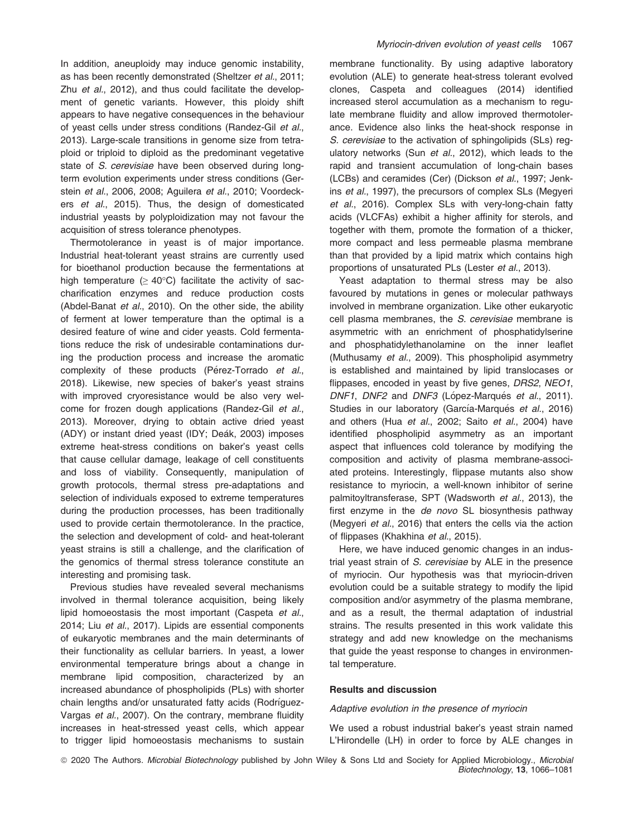In addition, aneuploidy may induce genomic instability, as has been recently demonstrated (Sheltzer et al., 2011; Zhu et al., 2012), and thus could facilitate the development of genetic variants. However, this ploidy shift appears to have negative consequences in the behaviour of yeast cells under stress conditions (Randez-Gil et al., 2013). Large-scale transitions in genome size from tetraploid or triploid to diploid as the predominant vegetative state of S. cerevisiae have been observed during longterm evolution experiments under stress conditions (Gerstein et al., 2006, 2008; Aguilera et al., 2010; Voordeckers et al., 2015). Thus, the design of domesticated industrial yeasts by polyploidization may not favour the acquisition of stress tolerance phenotypes.

Thermotolerance in yeast is of major importance. Industrial heat-tolerant yeast strains are currently used for bioethanol production because the fermentations at high temperature ( $\geq 40^{\circ}$ C) facilitate the activity of saccharification enzymes and reduce production costs (Abdel-Banat et al., 2010). On the other side, the ability of ferment at lower temperature than the optimal is a desired feature of wine and cider yeasts. Cold fermentations reduce the risk of undesirable contaminations during the production process and increase the aromatic complexity of these products (Pérez-Torrado et al., 2018). Likewise, new species of baker's yeast strains with improved cryoresistance would be also very welcome for frozen dough applications (Randez-Gil et al., 2013). Moreover, drying to obtain active dried yeast (ADY) or instant dried yeast (IDY; Deák, 2003) imposes extreme heat-stress conditions on baker's yeast cells that cause cellular damage, leakage of cell constituents and loss of viability. Consequently, manipulation of growth protocols, thermal stress pre-adaptations and selection of individuals exposed to extreme temperatures during the production processes, has been traditionally used to provide certain thermotolerance. In the practice, the selection and development of cold- and heat-tolerant yeast strains is still a challenge, and the clarification of the genomics of thermal stress tolerance constitute an interesting and promising task.

Previous studies have revealed several mechanisms involved in thermal tolerance acquisition, being likely lipid homoeostasis the most important (Caspeta et al., 2014; Liu et al., 2017). Lipids are essential components of eukaryotic membranes and the main determinants of their functionality as cellular barriers. In yeast, a lower environmental temperature brings about a change in membrane lipid composition, characterized by an increased abundance of phospholipids (PLs) with shorter chain lengths and/or unsaturated fatty acids (Rodríguez-Vargas et al., 2007). On the contrary, membrane fluidity increases in heat-stressed yeast cells, which appear to trigger lipid homoeostasis mechanisms to sustain membrane functionality. By using adaptive laboratory evolution (ALE) to generate heat-stress tolerant evolved clones, Caspeta and colleagues (2014) identified increased sterol accumulation as a mechanism to regulate membrane fluidity and allow improved thermotolerance. Evidence also links the heat-shock response in S. cerevisiae to the activation of sphingolipids (SLs) regulatory networks (Sun et al., 2012), which leads to the rapid and transient accumulation of long-chain bases (LCBs) and ceramides (Cer) (Dickson et al., 1997; Jenkins et al., 1997), the precursors of complex SLs (Megyeri et al., 2016). Complex SLs with very-long-chain fatty acids (VLCFAs) exhibit a higher affinity for sterols, and together with them, promote the formation of a thicker, more compact and less permeable plasma membrane than that provided by a lipid matrix which contains high proportions of unsaturated PLs (Lester et al., 2013).

Yeast adaptation to thermal stress may be also favoured by mutations in genes or molecular pathways involved in membrane organization. Like other eukaryotic cell plasma membranes, the S. cerevisiae membrane is asymmetric with an enrichment of phosphatidylserine and phosphatidylethanolamine on the inner leaflet (Muthusamy et al., 2009). This phospholipid asymmetry is established and maintained by lipid translocases or flippases, encoded in yeast by five genes, DRS2, NEO1, DNF1, DNF2 and DNF3 (López-Marqués et al., 2011). Studies in our laboratory (García-Marqués et al., 2016) and others (Hua et al., 2002; Saito et al., 2004) have identified phospholipid asymmetry as an important aspect that influences cold tolerance by modifying the composition and activity of plasma membrane-associated proteins. Interestingly, flippase mutants also show resistance to myriocin, a well-known inhibitor of serine palmitoyltransferase, SPT (Wadsworth et al., 2013), the first enzyme in the de novo SL biosynthesis pathway (Megyeri et al., 2016) that enters the cells via the action of flippases (Khakhina et al., 2015).

Here, we have induced genomic changes in an industrial yeast strain of S. cerevisiae by ALE in the presence of myriocin. Our hypothesis was that myriocin-driven evolution could be a suitable strategy to modify the lipid composition and/or asymmetry of the plasma membrane, and as a result, the thermal adaptation of industrial strains. The results presented in this work validate this strategy and add new knowledge on the mechanisms that guide the yeast response to changes in environmental temperature.

#### Results and discussion

Adaptive evolution in the presence of myriocin

We used a robust industrial baker's yeast strain named L'Hirondelle (LH) in order to force by ALE changes in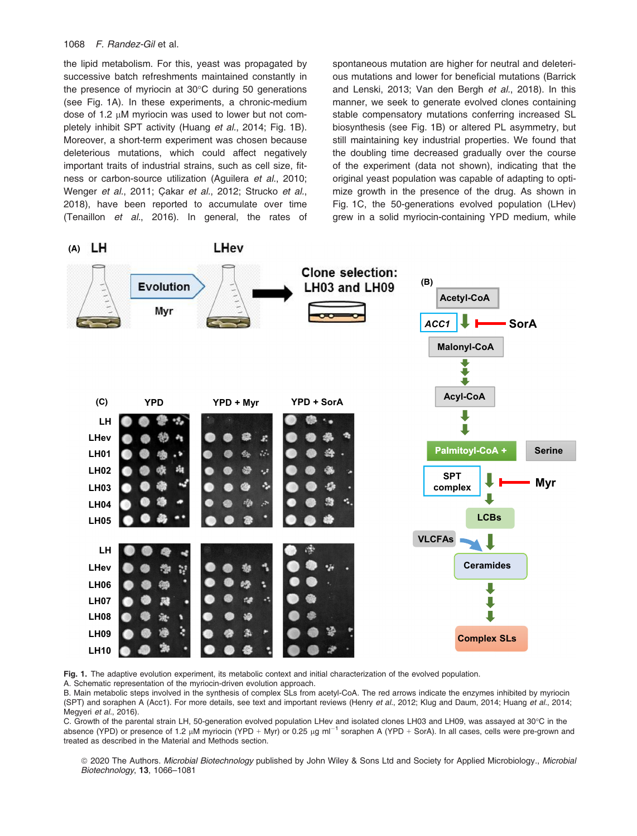the lipid metabolism. For this, yeast was propagated by successive batch refreshments maintained constantly in the presence of myriocin at 30°C during 50 generations (see Fig. 1A). In these experiments, a chronic-medium dose of 1.2  $\mu$ M myriocin was used to lower but not completely inhibit SPT activity (Huang et al., 2014; Fig. 1B). Moreover, a short-term experiment was chosen because deleterious mutations, which could affect negatively important traits of industrial strains, such as cell size, fitness or carbon-source utilization (Aguilera et al., 2010; Wenger et al., 2011; Çakar et al., 2012; Strucko et al., 2018), have been reported to accumulate over time (Tenaillon et al., 2016). In general, the rates of spontaneous mutation are higher for neutral and deleterious mutations and lower for beneficial mutations (Barrick and Lenski, 2013; Van den Bergh et al., 2018). In this manner, we seek to generate evolved clones containing stable compensatory mutations conferring increased SL biosynthesis (see Fig. 1B) or altered PL asymmetry, but still maintaining key industrial properties. We found that the doubling time decreased gradually over the course of the experiment (data not shown), indicating that the original yeast population was capable of adapting to optimize growth in the presence of the drug. As shown in Fig. 1C, the 50-generations evolved population (LHev) grew in a solid myriocin-containing YPD medium, while



Fig. 1. The adaptive evolution experiment, its metabolic context and initial characterization of the evolved population.

A. Schematic representation of the myriocin-driven evolution approach.

B. Main metabolic steps involved in the synthesis of complex SLs from acetyl-CoA. The red arrows indicate the enzymes inhibited by myriocin (SPT) and soraphen A (Acc1). For more details, see text and important reviews (Henry et al., 2012; Klug and Daum, 2014; Huang et al., 2014; Megyeri et al., 2016).

C. Growth of the parental strain LH, 50-generation evolved population LHev and isolated clones LH03 and LH09, was assayed at 30°C in the absence (YPD) or presence of 1.2  $\mu$ M myriocin (YPD + Myr) or 0.25  $\mu$ g ml<sup>-1</sup> soraphen A (YPD + SorA). In all cases, cells were pre-grown and treated as described in the Material and Methods section.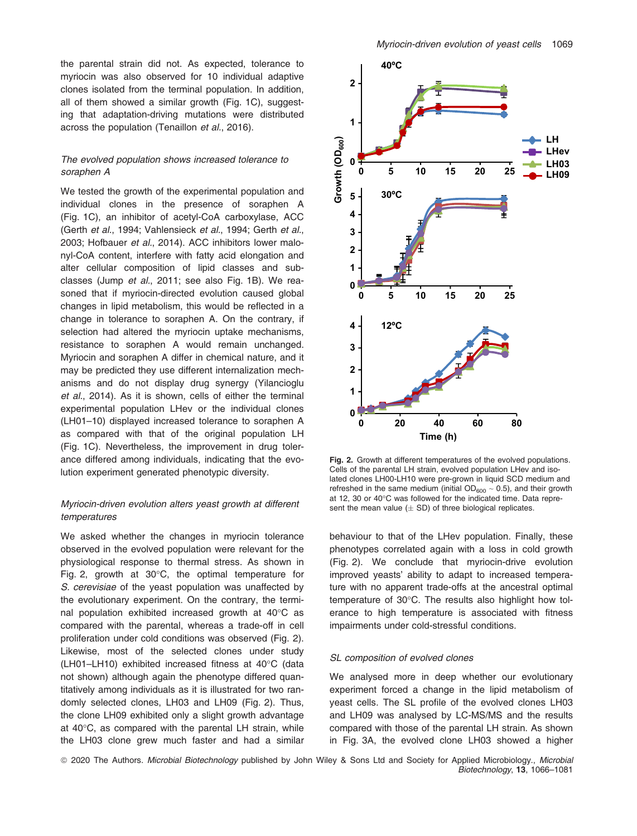the parental strain did not. As expected, tolerance to myriocin was also observed for 10 individual adaptive clones isolated from the terminal population. In addition, all of them showed a similar growth (Fig. 1C), suggesting that adaptation-driving mutations were distributed across the population (Tenaillon et al., 2016).

# The evolved population shows increased tolerance to soraphen A

We tested the growth of the experimental population and individual clones in the presence of soraphen A (Fig. 1C), an inhibitor of acetyl-CoA carboxylase, ACC (Gerth et al., 1994; Vahlensieck et al., 1994; Gerth et al., 2003; Hofbauer et al., 2014). ACC inhibitors lower malonyl-CoA content, interfere with fatty acid elongation and alter cellular composition of lipid classes and subclasses (Jump et al., 2011; see also Fig. 1B). We reasoned that if myriocin-directed evolution caused global changes in lipid metabolism, this would be reflected in a change in tolerance to soraphen A. On the contrary, if selection had altered the myriocin uptake mechanisms, resistance to soraphen A would remain unchanged. Myriocin and soraphen A differ in chemical nature, and it may be predicted they use different internalization mechanisms and do not display drug synergy (Yilancioglu et al., 2014). As it is shown, cells of either the terminal experimental population LHev or the individual clones (LH01–10) displayed increased tolerance to soraphen A as compared with that of the original population LH (Fig. 1C). Nevertheless, the improvement in drug tolerance differed among individuals, indicating that the evolution experiment generated phenotypic diversity.

# Myriocin-driven evolution alters yeast growth at different temperatures

We asked whether the changes in myriocin tolerance observed in the evolved population were relevant for the physiological response to thermal stress. As shown in Fig. 2, growth at 30°C, the optimal temperature for S. cerevisiae of the yeast population was unaffected by the evolutionary experiment. On the contrary, the terminal population exhibited increased growth at 40°C as compared with the parental, whereas a trade-off in cell proliferation under cold conditions was observed (Fig. 2). Likewise, most of the selected clones under study (LH01–LH10) exhibited increased fitness at 40°C (data not shown) although again the phenotype differed quantitatively among individuals as it is illustrated for two randomly selected clones, LH03 and LH09 (Fig. 2). Thus, the clone LH09 exhibited only a slight growth advantage at 40°C, as compared with the parental LH strain, while the LH03 clone grew much faster and had a similar



Fig. 2. Growth at different temperatures of the evolved populations. Cells of the parental LH strain, evolved population LHev and isolated clones LH00-LH10 were pre-grown in liquid SCD medium and refreshed in the same medium (initial  $OD_{600} \sim 0.5$ ), and their growth at 12, 30 or 40°C was followed for the indicated time. Data represent the mean value  $(\pm$  SD) of three biological replicates.

behaviour to that of the LHev population. Finally, these phenotypes correlated again with a loss in cold growth (Fig. 2). We conclude that myriocin-drive evolution improved yeasts' ability to adapt to increased temperature with no apparent trade-offs at the ancestral optimal temperature of 30°C. The results also highlight how tolerance to high temperature is associated with fitness impairments under cold-stressful conditions.

#### SL composition of evolved clones

We analysed more in deep whether our evolutionary experiment forced a change in the lipid metabolism of yeast cells. The SL profile of the evolved clones LH03 and LH09 was analysed by LC-MS/MS and the results compared with those of the parental LH strain. As shown in Fig. 3A, the evolved clone LH03 showed a higher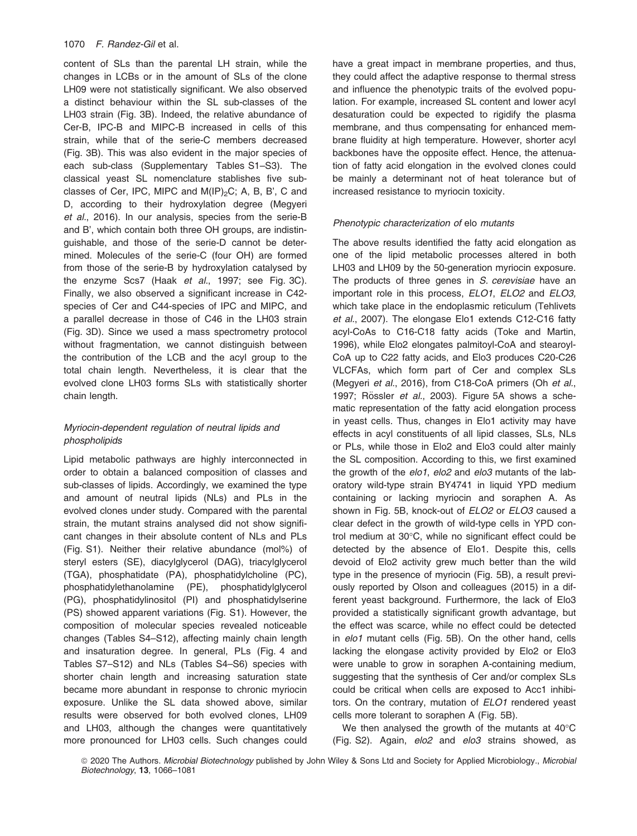content of SLs than the parental LH strain, while the changes in LCBs or in the amount of SLs of the clone LH09 were not statistically significant. We also observed a distinct behaviour within the SL sub-classes of the LH03 strain (Fig. 3B). Indeed, the relative abundance of Cer-B, IPC-B and MIPC-B increased in cells of this strain, while that of the serie-C members decreased (Fig. 3B). This was also evident in the major species of each sub-class (Supplementary Tables S1–S3). The classical yeast SL nomenclature stablishes five subclasses of Cer, IPC, MIPC and  $M(IP)_2C$ ; A, B, B', C and D, according to their hydroxylation degree (Megyeri et al., 2016). In our analysis, species from the serie-B and B', which contain both three OH groups, are indistinguishable, and those of the serie-D cannot be determined. Molecules of the serie-C (four OH) are formed from those of the serie-B by hydroxylation catalysed by the enzyme Scs7 (Haak et al., 1997; see Fig. 3C). Finally, we also observed a significant increase in C42 species of Cer and C44-species of IPC and MIPC, and a parallel decrease in those of C46 in the LH03 strain (Fig. 3D). Since we used a mass spectrometry protocol without fragmentation, we cannot distinguish between the contribution of the LCB and the acyl group to the total chain length. Nevertheless, it is clear that the evolved clone LH03 forms SLs with statistically shorter chain length.

# Myriocin-dependent regulation of neutral lipids and phospholipids

Lipid metabolic pathways are highly interconnected in order to obtain a balanced composition of classes and sub-classes of lipids. Accordingly, we examined the type and amount of neutral lipids (NLs) and PLs in the evolved clones under study. Compared with the parental strain, the mutant strains analysed did not show significant changes in their absolute content of NLs and PLs (Fig. S1). Neither their relative abundance (mol%) of steryl esters (SE), diacylglycerol (DAG), triacylglycerol (TGA), phosphatidate (PA), phosphatidylcholine (PC), phosphatidylethanolamine (PE), phosphatidylglycerol (PG), phosphatidylinositol (PI) and phosphatidylserine (PS) showed apparent variations (Fig. S1). However, the composition of molecular species revealed noticeable changes (Tables S4–S12), affecting mainly chain length and insaturation degree. In general, PLs (Fig. 4 and Tables S7–S12) and NLs (Tables S4–S6) species with shorter chain length and increasing saturation state became more abundant in response to chronic myriocin exposure. Unlike the SL data showed above, similar results were observed for both evolved clones, LH09 and LH03, although the changes were quantitatively more pronounced for LH03 cells. Such changes could have a great impact in membrane properties, and thus, they could affect the adaptive response to thermal stress and influence the phenotypic traits of the evolved population. For example, increased SL content and lower acyl desaturation could be expected to rigidify the plasma membrane, and thus compensating for enhanced membrane fluidity at high temperature. However, shorter acyl backbones have the opposite effect. Hence, the attenuation of fatty acid elongation in the evolved clones could be mainly a determinant not of heat tolerance but of increased resistance to myriocin toxicity.

# Phenotypic characterization of elo mutants

The above results identified the fatty acid elongation as one of the lipid metabolic processes altered in both LH03 and LH09 by the 50-generation myriocin exposure. The products of three genes in S. cerevisiae have an important role in this process, ELO1, ELO2 and ELO3, which take place in the endoplasmic reticulum (Tehlivets et al., 2007). The elongase Elo1 extends C12-C16 fatty acyl-CoAs to C16-C18 fatty acids (Toke and Martin, 1996), while Elo2 elongates palmitoyl-CoA and stearoyl-CoA up to C22 fatty acids, and Elo3 produces C20-C26 VLCFAs, which form part of Cer and complex SLs (Megyeri et al., 2016), from C18-CoA primers (Oh et al., 1997; Rössler et al., 2003). Figure 5A shows a schematic representation of the fatty acid elongation process in yeast cells. Thus, changes in Elo1 activity may have effects in acyl constituents of all lipid classes, SLs, NLs or PLs, while those in Elo2 and Elo3 could alter mainly the SL composition. According to this, we first examined the growth of the elo1, elo2 and elo3 mutants of the laboratory wild-type strain BY4741 in liquid YPD medium containing or lacking myriocin and soraphen A. As shown in Fig. 5B, knock-out of ELO2 or ELO3 caused a clear defect in the growth of wild-type cells in YPD control medium at 30°C, while no significant effect could be detected by the absence of Elo1. Despite this, cells devoid of Elo2 activity grew much better than the wild type in the presence of myriocin (Fig. 5B), a result previously reported by Olson and colleagues (2015) in a different yeast background. Furthermore, the lack of Elo3 provided a statistically significant growth advantage, but the effect was scarce, while no effect could be detected in elo1 mutant cells (Fig. 5B). On the other hand, cells lacking the elongase activity provided by Elo2 or Elo3 were unable to grow in soraphen A-containing medium, suggesting that the synthesis of Cer and/or complex SLs could be critical when cells are exposed to Acc1 inhibitors. On the contrary, mutation of ELO1 rendered yeast cells more tolerant to soraphen A (Fig. 5B).

We then analysed the growth of the mutants at 40°C (Fig. S2). Again, elo2 and elo3 strains showed, as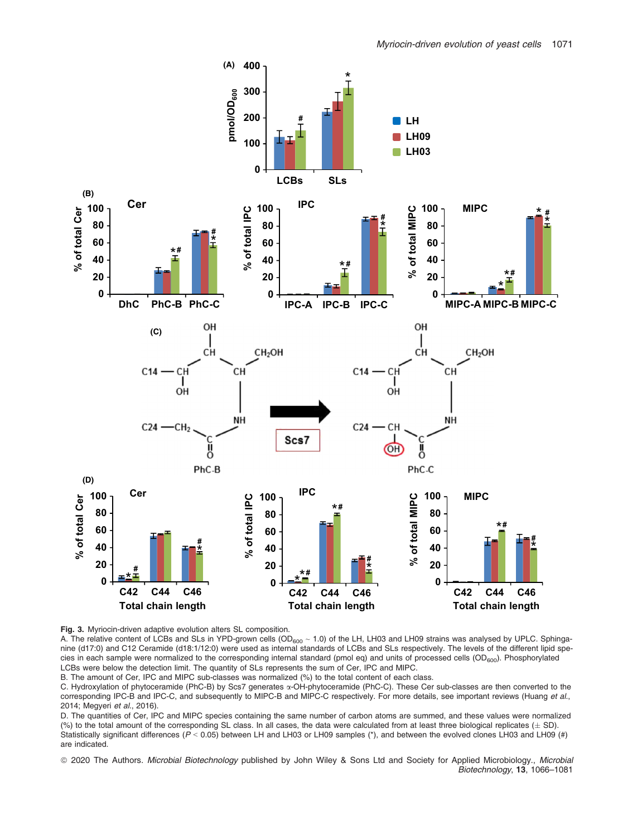

Fig. 3. Myriocin-driven adaptive evolution alters SL composition.

A. The relative content of LCBs and SLs in YPD-grown cells ( $OD_{600} \sim 1.0$ ) of the LH, LH03 and LH09 strains was analysed by UPLC. Sphinganine (d17:0) and C12 Ceramide (d18:1/12:0) were used as internal standards of LCBs and SLs respectively. The levels of the different lipid species in each sample were normalized to the corresponding internal standard (pmol eq) and units of processed cells ( $OD<sub>600</sub>$ ). Phosphorylated LCBs were below the detection limit. The quantity of SLs represents the sum of Cer, IPC and MIPC.

B. The amount of Cer, IPC and MIPC sub-classes was normalized (%) to the total content of each class.

C. Hydroxylation of phytoceramide (PhC-B) by Scs7 generates a-OH-phytoceramide (PhC-C). These Cer sub-classes are then converted to the corresponding IPC-B and IPC-C, and subsequently to MIPC-B and MIPC-C respectively. For more details, see important reviews (Huang et al., 2014; Megyeri et al., 2016).

D. The quantities of Cer, IPC and MIPC species containing the same number of carbon atoms are summed, and these values were normalized (%) to the total amount of the corresponding SL class. In all cases, the data were calculated from at least three biological replicates  $(\pm$  SD). Statistically significant differences ( $P < 0.05$ ) between LH and LH03 or LH09 samples (\*), and between the evolved clones LH03 and LH09 (#) are indicated.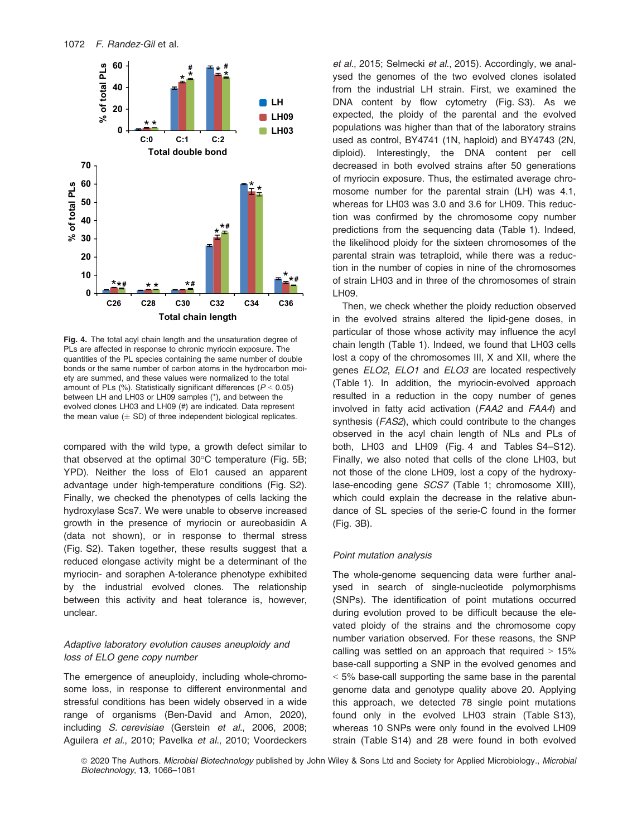

Fig. 4. The total acyl chain length and the unsaturation degree of PLs are affected in response to chronic myriocin exposure. The quantities of the PL species containing the same number of double bonds or the same number of carbon atoms in the hydrocarbon moiety are summed, and these values were normalized to the total amount of PLs  $(\%)$ . Statistically significant differences  $(P < 0.05)$ between LH and LH03 or LH09 samples (\*), and between the evolved clones LH03 and LH09 (#) are indicated. Data represent the mean value  $(\pm$  SD) of three independent biological replicates.

compared with the wild type, a growth defect similar to that observed at the optimal 30°C temperature (Fig. 5B; YPD). Neither the loss of Elo1 caused an apparent advantage under high-temperature conditions (Fig. S2). Finally, we checked the phenotypes of cells lacking the hydroxylase Scs7. We were unable to observe increased growth in the presence of myriocin or aureobasidin A (data not shown), or in response to thermal stress (Fig. S2). Taken together, these results suggest that a reduced elongase activity might be a determinant of the myriocin- and soraphen A-tolerance phenotype exhibited by the industrial evolved clones. The relationship between this activity and heat tolerance is, however, unclear.

# Adaptive laboratory evolution causes aneuploidy and loss of ELO gene copy number

The emergence of aneuploidy, including whole-chromosome loss, in response to different environmental and stressful conditions has been widely observed in a wide range of organisms (Ben-David and Amon, 2020), including S. cerevisiae (Gerstein et al., 2006, 2008; Aguilera et al., 2010; Pavelka et al., 2010; Voordeckers

et al., 2015; Selmecki et al., 2015). Accordingly, we analysed the genomes of the two evolved clones isolated from the industrial LH strain. First, we examined the DNA content by flow cytometry (Fig. S3). As we expected, the ploidy of the parental and the evolved populations was higher than that of the laboratory strains used as control, BY4741 (1N, haploid) and BY4743 (2N, diploid). Interestingly, the DNA content per cell decreased in both evolved strains after 50 generations of myriocin exposure. Thus, the estimated average chromosome number for the parental strain (LH) was 4.1, whereas for LH03 was 3.0 and 3.6 for LH09. This reduction was confirmed by the chromosome copy number predictions from the sequencing data (Table 1). Indeed, the likelihood ploidy for the sixteen chromosomes of the parental strain was tetraploid, while there was a reduction in the number of copies in nine of the chromosomes of strain LH03 and in three of the chromosomes of strain LH09.

Then, we check whether the ploidy reduction observed in the evolved strains altered the lipid-gene doses, in particular of those whose activity may influence the acyl chain length (Table 1). Indeed, we found that LH03 cells lost a copy of the chromosomes III, X and XII, where the genes ELO2, ELO1 and ELO3 are located respectively (Table 1). In addition, the myriocin-evolved approach resulted in a reduction in the copy number of genes involved in fatty acid activation (FAA2 and FAA4) and synthesis (*FAS2*), which could contribute to the changes observed in the acyl chain length of NLs and PLs of both, LH03 and LH09 (Fig. 4 and Tables S4–S12). Finally, we also noted that cells of the clone LH03, but not those of the clone LH09, lost a copy of the hydroxylase-encoding gene SCS7 (Table 1; chromosome XIII), which could explain the decrease in the relative abundance of SL species of the serie-C found in the former (Fig. 3B).

# Point mutation analysis

The whole-genome sequencing data were further analysed in search of single-nucleotide polymorphisms (SNPs). The identification of point mutations occurred during evolution proved to be difficult because the elevated ploidy of the strains and the chromosome copy number variation observed. For these reasons, the SNP calling was settled on an approach that required  $> 15\%$ base-call supporting a SNP in the evolved genomes and < 5% base-call supporting the same base in the parental genome data and genotype quality above 20. Applying this approach, we detected 78 single point mutations found only in the evolved LH03 strain (Table S13), whereas 10 SNPs were only found in the evolved LH09 strain (Table S14) and 28 were found in both evolved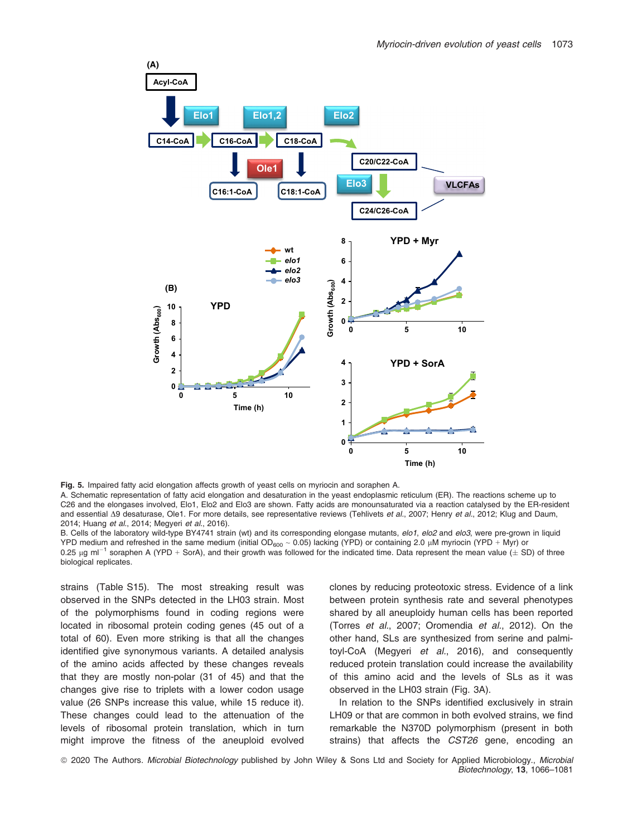

Fig. 5. Impaired fatty acid elongation affects growth of yeast cells on myriocin and soraphen A.

A. Schematic representation of fatty acid elongation and desaturation in the yeast endoplasmic reticulum (ER). The reactions scheme up to C26 and the elongases involved, Elo1, Elo2 and Elo3 are shown. Fatty acids are monounsaturated via a reaction catalysed by the ER-resident and essential  $\Delta 9$  desaturase, Ole1. For more details, see representative reviews (Tehlivets et al., 2007; Henry et al., 2012; Klug and Daum, 2014; Huang et al., 2014; Megyeri et al., 2016).

B. Cells of the laboratory wild-type BY4741 strain (wt) and its corresponding elongase mutants, elo1, elo2 and elo3, were pre-grown in liquid YPD medium and refreshed in the same medium (initial OD<sub>600</sub> ~ 0.05) lacking (YPD) or containing 2.0 µM myriocin (YPD + Myr) or 0.25  $\mu$ g ml<sup>-1</sup> soraphen A (YPD + SorA), and their growth was followed for the indicated time. Data represent the mean value ( $\pm$  SD) of three biological replicates.

strains (Table S15). The most streaking result was observed in the SNPs detected in the LH03 strain. Most of the polymorphisms found in coding regions were located in ribosomal protein coding genes (45 out of a total of 60). Even more striking is that all the changes identified give synonymous variants. A detailed analysis of the amino acids affected by these changes reveals that they are mostly non-polar (31 of 45) and that the changes give rise to triplets with a lower codon usage value (26 SNPs increase this value, while 15 reduce it). These changes could lead to the attenuation of the levels of ribosomal protein translation, which in turn might improve the fitness of the aneuploid evolved clones by reducing proteotoxic stress. Evidence of a link between protein synthesis rate and several phenotypes shared by all aneuploidy human cells has been reported (Torres et al., 2007; Oromendia et al., 2012). On the other hand, SLs are synthesized from serine and palmitoyl-CoA (Megyeri et al., 2016), and consequently reduced protein translation could increase the availability of this amino acid and the levels of SLs as it was observed in the LH03 strain (Fig. 3A).

In relation to the SNPs identified exclusively in strain LH09 or that are common in both evolved strains, we find remarkable the N370D polymorphism (present in both strains) that affects the CST26 gene, encoding an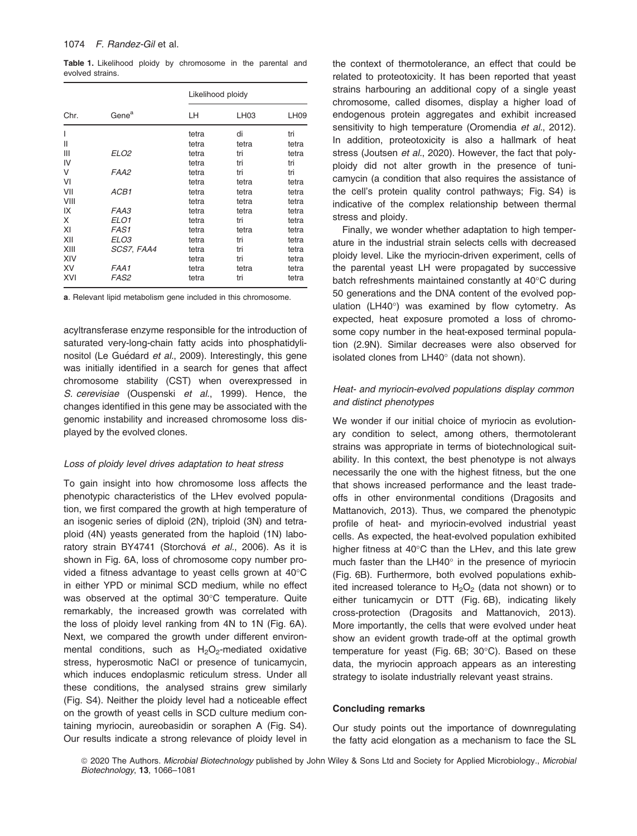Table 1. Likelihood ploidy by chromosome in the parental and evolved strains.

| Chr. | Gene <sup>a</sup> | Likelihood ploidy |       |             |
|------|-------------------|-------------------|-------|-------------|
|      |                   | LН                | LH03  | <b>LH09</b> |
| I    |                   | tetra             | di    | tri         |
| Ш    |                   | tetra             | tetra | tetra       |
| Ш    | ELO <sub>2</sub>  | tetra             | tri   | tetra       |
| IV   |                   | tetra             | tri   | tri         |
| V    | FAA2              | tetra             | tri   | tri         |
| VI   |                   | tetra             | tetra | tetra       |
| VII  | ACB1              | tetra             | tetra | tetra       |
| VIII |                   | tetra             | tetra | tetra       |
| IX   | FAA3              | tetra             | tetra | tetra       |
| X    | ELO <sub>1</sub>  | tetra             | tri   | tetra       |
| XI   | <b>FAS1</b>       | tetra             | tetra | tetra       |
| XII  | ELO3              | tetra             | tri   | tetra       |
| XIII | SCS7, FAA4        | tetra             | tri   | tetra       |
| XIV  |                   | tetra             | tri   | tetra       |
| XV   | FAA1              | tetra             | tetra | tetra       |
| XVI  | <i>FAS2</i>       | tetra             | tri   | tetra       |

a. Relevant lipid metabolism gene included in this chromosome.

acyltransferase enzyme responsible for the introduction of saturated very-long-chain fatty acids into phosphatidylinositol (Le Guédard et al., 2009). Interestingly, this gene was initially identified in a search for genes that affect chromosome stability (CST) when overexpressed in S. cerevisiae (Ouspenski et al., 1999). Hence, the changes identified in this gene may be associated with the genomic instability and increased chromosome loss displayed by the evolved clones.

#### Loss of ploidy level drives adaptation to heat stress

To gain insight into how chromosome loss affects the phenotypic characteristics of the LHev evolved population, we first compared the growth at high temperature of an isogenic series of diploid (2N), triploid (3N) and tetraploid (4N) yeasts generated from the haploid (1N) laboratory strain BY4741 (Storchová et al., 2006). As it is shown in Fig. 6A, loss of chromosome copy number provided a fitness advantage to yeast cells grown at 40°C in either YPD or minimal SCD medium, while no effect was observed at the optimal 30°C temperature. Quite remarkably, the increased growth was correlated with the loss of ploidy level ranking from 4N to 1N (Fig. 6A). Next, we compared the growth under different environmental conditions, such as  $H_2O_2$ -mediated oxidative stress, hyperosmotic NaCl or presence of tunicamycin, which induces endoplasmic reticulum stress. Under all these conditions, the analysed strains grew similarly (Fig. S4). Neither the ploidy level had a noticeable effect on the growth of yeast cells in SCD culture medium containing myriocin, aureobasidin or soraphen A (Fig. S4). Our results indicate a strong relevance of ploidy level in the context of thermotolerance, an effect that could be related to proteotoxicity. It has been reported that yeast strains harbouring an additional copy of a single yeast chromosome, called disomes, display a higher load of endogenous protein aggregates and exhibit increased sensitivity to high temperature (Oromendia et al., 2012). In addition, proteotoxicity is also a hallmark of heat stress (Joutsen et al., 2020). However, the fact that polyploidy did not alter growth in the presence of tunicamycin (a condition that also requires the assistance of the cell's protein quality control pathways; Fig. S4) is indicative of the complex relationship between thermal stress and ploidy.

Finally, we wonder whether adaptation to high temperature in the industrial strain selects cells with decreased ploidy level. Like the myriocin-driven experiment, cells of the parental yeast LH were propagated by successive batch refreshments maintained constantly at 40°C during 50 generations and the DNA content of the evolved population (LH40°) was examined by flow cytometry. As expected, heat exposure promoted a loss of chromosome copy number in the heat-exposed terminal population (2.9N). Similar decreases were also observed for isolated clones from LH40° (data not shown).

# Heat- and myriocin-evolved populations display common and distinct phenotypes

We wonder if our initial choice of myriocin as evolutionary condition to select, among others, thermotolerant strains was appropriate in terms of biotechnological suitability. In this context, the best phenotype is not always necessarily the one with the highest fitness, but the one that shows increased performance and the least tradeoffs in other environmental conditions (Dragosits and Mattanovich, 2013). Thus, we compared the phenotypic profile of heat- and myriocin-evolved industrial yeast cells. As expected, the heat-evolved population exhibited higher fitness at 40°C than the LHev, and this late grew much faster than the LH40° in the presence of myriocin (Fig. 6B). Furthermore, both evolved populations exhibited increased tolerance to  $H_2O_2$  (data not shown) or to either tunicamycin or DTT (Fig. 6B), indicating likely cross-protection (Dragosits and Mattanovich, 2013). More importantly, the cells that were evolved under heat show an evident growth trade-off at the optimal growth temperature for yeast (Fig. 6B; 30°C). Based on these data, the myriocin approach appears as an interesting strategy to isolate industrially relevant yeast strains.

#### Concluding remarks

Our study points out the importance of downregulating the fatty acid elongation as a mechanism to face the SL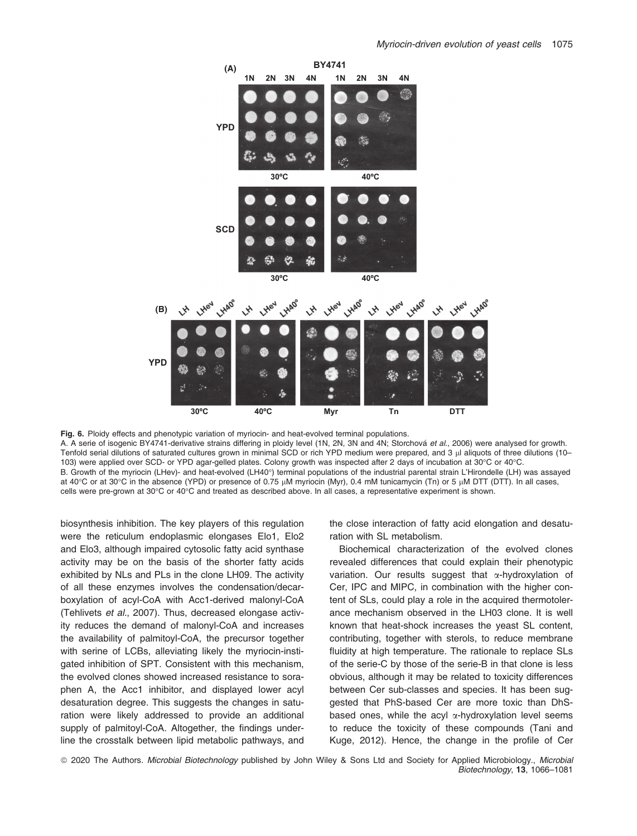

Fig. 6. Ploidy effects and phenotypic variation of myriocin- and heat-evolved terminal populations. A. A serie of isogenic BY4741-derivative strains differing in ploidy level (1N, 2N, 3N and 4N; Storchová et al., 2006) were analysed for growth. Tenfold serial dilutions of saturated cultures grown in minimal SCD or rich YPD medium were prepared, and 3 µl aliquots of three dilutions (10-103) were applied over SCD- or YPD agar-gelled plates. Colony growth was inspected after 2 days of incubation at 30°C or 40°C. B. Growth of the myriocin (LHev)- and heat-evolved (LH40°) terminal populations of the industrial parental strain L'Hirondelle (LH) was assayed at 40°C or at 30°C in the absence (YPD) or presence of 0.75 µM myriocin (Myr), 0.4 mM tunicamycin (Tn) or 5 µM DTT (DTT). In all cases, cells were pre-grown at 30°C or 40°C and treated as described above. In all cases, a representative experiment is shown.

biosynthesis inhibition. The key players of this regulation were the reticulum endoplasmic elongases Elo1, Elo2 and Elo3, although impaired cytosolic fatty acid synthase activity may be on the basis of the shorter fatty acids exhibited by NLs and PLs in the clone LH09. The activity of all these enzymes involves the condensation/decarboxylation of acyl-CoA with Acc1-derived malonyl-CoA (Tehlivets et al., 2007). Thus, decreased elongase activity reduces the demand of malonyl-CoA and increases the availability of palmitoyl-CoA, the precursor together with serine of LCBs, alleviating likely the myriocin-instigated inhibition of SPT. Consistent with this mechanism, the evolved clones showed increased resistance to soraphen A, the Acc1 inhibitor, and displayed lower acyl desaturation degree. This suggests the changes in saturation were likely addressed to provide an additional supply of palmitoyl-CoA. Altogether, the findings underline the crosstalk between lipid metabolic pathways, and

the close interaction of fatty acid elongation and desaturation with SL metabolism.

Biochemical characterization of the evolved clones revealed differences that could explain their phenotypic variation. Our results suggest that  $\alpha$ -hydroxylation of Cer, IPC and MIPC, in combination with the higher content of SLs, could play a role in the acquired thermotolerance mechanism observed in the LH03 clone. It is well known that heat-shock increases the yeast SL content, contributing, together with sterols, to reduce membrane fluidity at high temperature. The rationale to replace SLs of the serie-C by those of the serie-B in that clone is less obvious, although it may be related to toxicity differences between Cer sub-classes and species. It has been suggested that PhS-based Cer are more toxic than DhSbased ones, while the acyl  $\alpha$ -hydroxylation level seems to reduce the toxicity of these compounds (Tani and Kuge, 2012). Hence, the change in the profile of Cer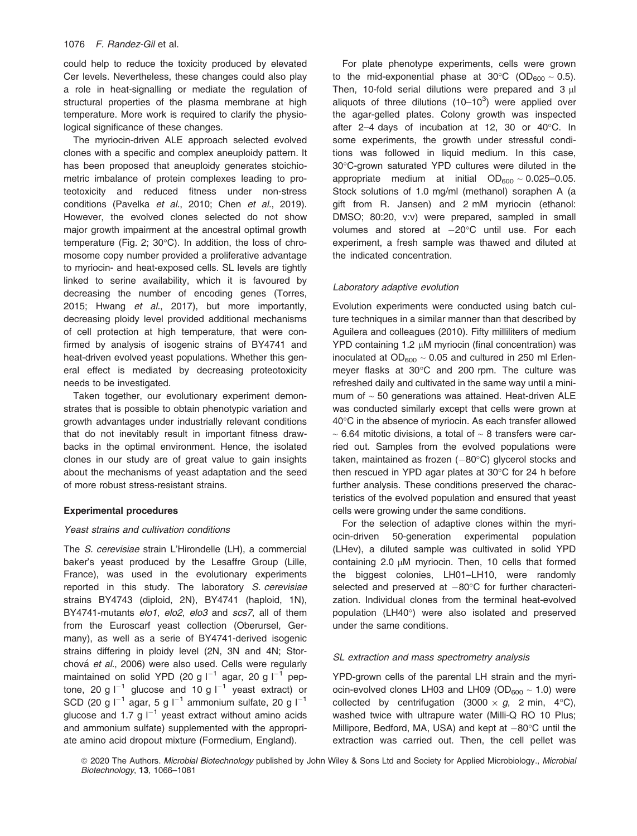could help to reduce the toxicity produced by elevated Cer levels. Nevertheless, these changes could also play a role in heat-signalling or mediate the regulation of structural properties of the plasma membrane at high temperature. More work is required to clarify the physiological significance of these changes.

The myriocin-driven ALE approach selected evolved clones with a specific and complex aneuploidy pattern. It has been proposed that aneuploidy generates stoichiometric imbalance of protein complexes leading to proteotoxicity and reduced fitness under non-stress conditions (Pavelka et al., 2010; Chen et al., 2019). However, the evolved clones selected do not show major growth impairment at the ancestral optimal growth temperature (Fig. 2; 30°C). In addition, the loss of chromosome copy number provided a proliferative advantage to myriocin- and heat-exposed cells. SL levels are tightly linked to serine availability, which it is favoured by decreasing the number of encoding genes (Torres, 2015; Hwang et al., 2017), but more importantly, decreasing ploidy level provided additional mechanisms of cell protection at high temperature, that were confirmed by analysis of isogenic strains of BY4741 and heat-driven evolved yeast populations. Whether this general effect is mediated by decreasing proteotoxicity needs to be investigated.

Taken together, our evolutionary experiment demonstrates that is possible to obtain phenotypic variation and growth advantages under industrially relevant conditions that do not inevitably result in important fitness drawbacks in the optimal environment. Hence, the isolated clones in our study are of great value to gain insights about the mechanisms of yeast adaptation and the seed of more robust stress-resistant strains.

#### Experimental procedures

#### Yeast strains and cultivation conditions

The S. cerevisiae strain L'Hirondelle (LH), a commercial baker's yeast produced by the Lesaffre Group (Lille, France), was used in the evolutionary experiments reported in this study. The laboratory S. cerevisiae strains BY4743 (diploid, 2N), BY4741 (haploid, 1N), BY4741-mutants elo1, elo2, elo3 and scs7, all of them from the Euroscarf yeast collection (Oberursel, Germany), as well as a serie of BY4741-derived isogenic strains differing in ploidy level (2N, 3N and 4N; Storchová et al., 2006) were also used. Cells were regularly maintained on solid YPD (20 g  $I^{-1}$  agar, 20 g  $I^{-1}$  peptone, 20 g  $I^{-1}$  glucose and 10 g  $I^{-1}$  yeast extract) or SCD (20 g  $I^{-1}$  agar, 5 g  $I^{-1}$  ammonium sulfate, 20 g  $I^{-1}$ glucose and 1.7 g  $I^{-1}$  yeast extract without amino acids and ammonium sulfate) supplemented with the appropriate amino acid dropout mixture (Formedium, England).

For plate phenotype experiments, cells were grown to the mid-exponential phase at 30 $\degree$ C (OD<sub>600</sub>  $\sim$  0.5). Then, 10-fold serial dilutions were prepared and  $3 \mu$ aliquots of three dilutions  $(10-10^3)$  were applied over the agar-gelled plates. Colony growth was inspected after 2–4 days of incubation at 12, 30 or 40°C. In some experiments, the growth under stressful conditions was followed in liquid medium. In this case, 30°C-grown saturated YPD cultures were diluted in the appropriate medium at initial  $OD<sub>600</sub> \sim 0.025-0.05$ . Stock solutions of 1.0 mg/ml (methanol) soraphen A (a gift from R. Jansen) and 2 mM myriocin (ethanol: DMSO; 80:20, v:v) were prepared, sampled in small volumes and stored at  $-20^{\circ}$ C until use. For each experiment, a fresh sample was thawed and diluted at the indicated concentration.

#### Laboratory adaptive evolution

Evolution experiments were conducted using batch culture techniques in a similar manner than that described by Aguilera and colleagues (2010). Fifty milliliters of medium  $YPD$  containing 1.2  $µM$  myriocin (final concentration) was inoculated at  $OD_{600} \sim 0.05$  and cultured in 250 ml Erlenmeyer flasks at 30°C and 200 rpm. The culture was refreshed daily and cultivated in the same way until a minimum of  $\sim$  50 generations was attained. Heat-driven ALE was conducted similarly except that cells were grown at 40°C in the absence of myriocin. As each transfer allowed  $\sim$  6.64 mitotic divisions, a total of  $\sim$  8 transfers were carried out. Samples from the evolved populations were taken, maintained as frozen  $(-80^{\circ}C)$  glycerol stocks and then rescued in YPD agar plates at 30°C for 24 h before further analysis. These conditions preserved the characteristics of the evolved population and ensured that yeast cells were growing under the same conditions.

For the selection of adaptive clones within the myriocin-driven 50-generation experimental population (LHev), a diluted sample was cultivated in solid YPD containing 2.0  $\mu$ M myriocin. Then, 10 cells that formed the biggest colonies, LH01–LH10, were randomly selected and preserved at  $-80^{\circ}$ C for further characterization. Individual clones from the terminal heat-evolved population (LH40°) were also isolated and preserved under the same conditions.

#### SL extraction and mass spectrometry analysis

YPD-grown cells of the parental LH strain and the myriocin-evolved clones LH03 and LH09 ( $OD_{600} \sim 1.0$ ) were collected by centrifugation  $(3000 \times g, 2 \text{ min}, 4^{\circ}\text{C})$ , washed twice with ultrapure water (Milli-Q RO 10 Plus; Millipore, Bedford, MA, USA) and kept at  $-80^{\circ}$ C until the extraction was carried out. Then, the cell pellet was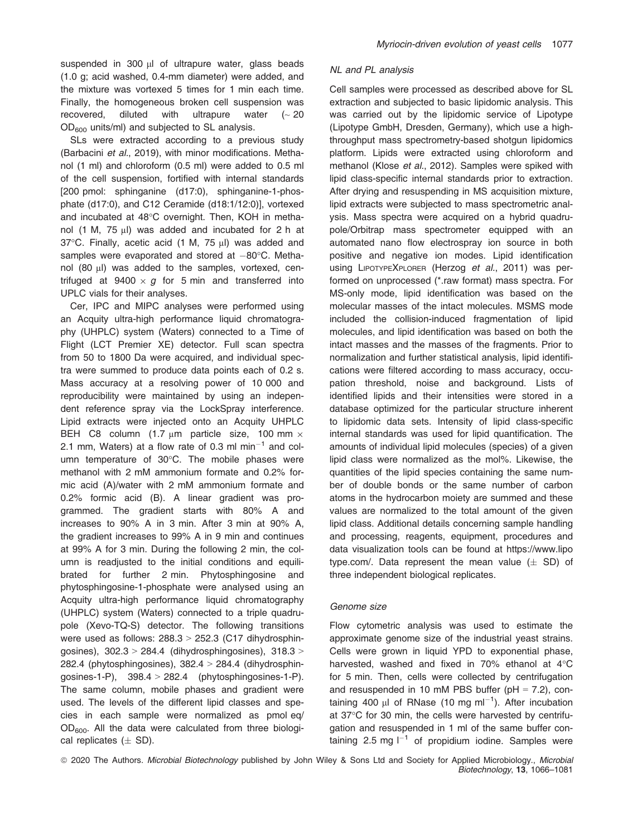suspended in 300  $\mu$ l of ultrapure water, glass beads (1.0 g; acid washed, 0.4-mm diameter) were added, and the mixture was vortexed 5 times for 1 min each time. Finally, the homogeneous broken cell suspension was recovered, diluted with ultrapure water  $($   $\sim$  20  $OD_{600}$  units/ml) and subjected to SL analysis.

SLs were extracted according to a previous study (Barbacini et al., 2019), with minor modifications. Methanol (1 ml) and chloroform (0.5 ml) were added to 0.5 ml of the cell suspension, fortified with internal standards [200 pmol: sphinganine (d17:0), sphinganine-1-phosphate (d17:0), and C12 Ceramide (d18:1/12:0)], vortexed and incubated at 48°C overnight. Then, KOH in methanol (1 M, 75 µl) was added and incubated for 2 h at 37°C. Finally, acetic acid (1 M, 75 µl) was added and samples were evaporated and stored at  $-80^{\circ}$ C. Methanol (80 µl) was added to the samples, vortexed, centrifuged at  $9400 \times g$  for 5 min and transferred into UPLC vials for their analyses.

Cer, IPC and MIPC analyses were performed using an Acquity ultra-high performance liquid chromatography (UHPLC) system (Waters) connected to a Time of Flight (LCT Premier XE) detector. Full scan spectra from 50 to 1800 Da were acquired, and individual spectra were summed to produce data points each of 0.2 s. Mass accuracy at a resolving power of 10 000 and reproducibility were maintained by using an independent reference spray via the LockSpray interference. Lipid extracts were injected onto an Acquity UHPLC BEH C8 column (1.7  $\mu$ m particle size, 100 mm  $\times$ 2.1 mm, Waters) at a flow rate of 0.3 ml  $min^{-1}$  and column temperature of 30°C. The mobile phases were methanol with 2 mM ammonium formate and 0.2% formic acid (A)/water with 2 mM ammonium formate and 0.2% formic acid (B). A linear gradient was programmed. The gradient starts with 80% A and increases to 90% A in 3 min. After 3 min at 90% A, the gradient increases to 99% A in 9 min and continues at 99% A for 3 min. During the following 2 min, the column is readjusted to the initial conditions and equilibrated for further 2 min. Phytosphingosine and phytosphingosine-1-phosphate were analysed using an Acquity ultra-high performance liquid chromatography (UHPLC) system (Waters) connected to a triple quadrupole (Xevo-TQ-S) detector. The following transitions were used as follows: 288.3 > 252.3 (C17 dihydrosphingosines), 302.3 > 284.4 (dihydrosphingosines), 318.3 > 282.4 (phytosphingosines),  $382.4 > 284.4$  (dihydrosphingosines-1-P),  $398.4 > 282.4$  (phytosphingosines-1-P). The same column, mobile phases and gradient were used. The levels of the different lipid classes and species in each sample were normalized as pmol eq/ OD600. All the data were calculated from three biological replicates  $(\pm$  SD).

#### NL and PL analysis

Cell samples were processed as described above for SL extraction and subjected to basic lipidomic analysis. This was carried out by the lipidomic service of Lipotype (Lipotype GmbH, Dresden, Germany), which use a highthroughput mass spectrometry-based shotgun lipidomics platform. Lipids were extracted using chloroform and methanol (Klose et al., 2012). Samples were spiked with lipid class-specific internal standards prior to extraction. After drying and resuspending in MS acquisition mixture, lipid extracts were subjected to mass spectrometric analysis. Mass spectra were acquired on a hybrid quadrupole/Orbitrap mass spectrometer equipped with an automated nano flow electrospray ion source in both positive and negative ion modes. Lipid identification using LIPOTYPEXPLORER (Herzog et al., 2011) was performed on unprocessed (\*.raw format) mass spectra. For MS-only mode, lipid identification was based on the molecular masses of the intact molecules. MSMS mode included the collision-induced fragmentation of lipid molecules, and lipid identification was based on both the intact masses and the masses of the fragments. Prior to normalization and further statistical analysis, lipid identifications were filtered according to mass accuracy, occupation threshold, noise and background. Lists of identified lipids and their intensities were stored in a database optimized for the particular structure inherent to lipidomic data sets. Intensity of lipid class-specific internal standards was used for lipid quantification. The amounts of individual lipid molecules (species) of a given lipid class were normalized as the mol%. Likewise, the quantities of the lipid species containing the same number of double bonds or the same number of carbon atoms in the hydrocarbon moiety are summed and these values are normalized to the total amount of the given lipid class. Additional details concerning sample handling and processing, reagents, equipment, procedures and data visualization tools can be found at [https://www.lipo](https://www.lipotype.com/) [type.com/.](https://www.lipotype.com/) Data represent the mean value  $(\pm$  SD) of three independent biological replicates.

#### Genome size

Flow cytometric analysis was used to estimate the approximate genome size of the industrial yeast strains. Cells were grown in liquid YPD to exponential phase, harvested, washed and fixed in 70% ethanol at 4°C for 5 min. Then, cells were collected by centrifugation and resuspended in 10 mM PBS buffer ( $pH = 7.2$ ), containing 400  $\mu$ l of RNase (10 mg ml<sup>-1</sup>). After incubation at 37°C for 30 min, the cells were harvested by centrifugation and resuspended in 1 ml of the same buffer containing 2.5 mg  $I^{-1}$  of propidium iodine. Samples were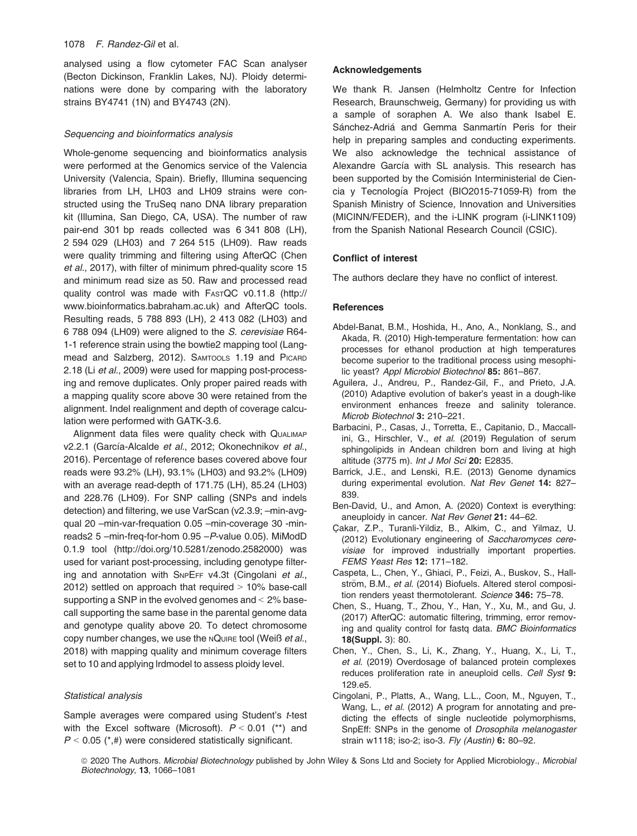analysed using a flow cytometer FAC Scan analyser (Becton Dickinson, Franklin Lakes, NJ). Ploidy determinations were done by comparing with the laboratory strains BY4741 (1N) and BY4743 (2N).

#### Sequencing and bioinformatics analysis

Whole-genome sequencing and bioinformatics analysis were performed at the Genomics service of the Valencia University (Valencia, Spain). Briefly, Illumina sequencing libraries from LH, LH03 and LH09 strains were constructed using the TruSeq nano DNA library preparation kit (Illumina, San Diego, CA, USA). The number of raw pair-end 301 bp reads collected was 6 341 808 (LH), 2 594 029 (LH03) and 7 264 515 (LH09). Raw reads were quality trimming and filtering using AfterQC (Chen et al., 2017), with filter of minimum phred-quality score 15 and minimum read size as 50. Raw and processed read quality control was made with FASTQC v0.11.8 ([http://](http://www.bioinformatics.babraham.ac.uk) [www.bioinformatics.babraham.ac.uk](http://www.bioinformatics.babraham.ac.uk)) and AfterQC tools. Resulting reads, 5 788 893 (LH), 2 413 082 (LH03) and 6 788 094 (LH09) were aligned to the S. cerevisiae R64- 1-1 reference strain using the bowtie2 mapping tool (Langmead and Salzberg, 2012). SAMTOOLS 1.19 and PICARD 2.18 (Li et al., 2009) were used for mapping post-processing and remove duplicates. Only proper paired reads with a mapping quality score above 30 were retained from the alignment. Indel realignment and depth of coverage calculation were performed with GATK-3.6.

Alignment data files were quality check with QUALIMAP v2.2.1 (García-Alcalde et al., 2012; Okonechnikov et al., 2016). Percentage of reference bases covered above four reads were 93.2% (LH), 93.1% (LH03) and 93.2% (LH09) with an average read-depth of 171.75 (LH), 85.24 (LH03) and 228.76 (LH09). For SNP calling (SNPs and indels detection) and filtering, we use VarScan (v2.3.9; –min-avgqual 20 –min-var-frequation 0.05 –min-coverage 30 -minreads2 5 –min-freq-for-hom 0.95 –P-value 0.05). MiModD 0.1.9 tool [\(http://doi.org/10.5281/zenodo.2582000\)](http://doi.org/10.5281/zenodo.2582000) was used for variant post-processing, including genotype filtering and annotation with SNPEFF v4.3t (Cingolani et al., 2012) settled on approach that required > 10% base-call supporting a SNP in the evolved genomes and < 2% basecall supporting the same base in the parental genome data and genotype quality above 20. To detect chromosome copy number changes, we use the NQUIRE tool (Weiß et al., 2018) with mapping quality and minimum coverage filters set to 10 and applying lrdmodel to assess ploidy level.

#### Statistical analysis

Sample averages were compared using Student's t-test with the Excel software (Microsoft).  $P < 0.01$  (\*\*) and  $P < 0.05$  (\*,#) were considered statistically significant.

#### Acknowledgements

We thank R. Jansen (Helmholtz Centre for Infection Research, Braunschweig, Germany) for providing us with a sample of soraphen A. We also thank Isabel E. Sánchez-Adriá and Gemma Sanmartín Peris for their help in preparing samples and conducting experiments. We also acknowledge the technical assistance of Alexandre García with SL analysis. This research has been supported by the Comisión Interministerial de Ciencia y Tecnología Project (BIO2015-71059-R) from the Spanish Ministry of Science, Innovation and Universities (MICINN/FEDER), and the i-LINK program (i-LINK1109) from the Spanish National Research Council (CSIC).

#### Conflict of interest

The authors declare they have no conflict of interest.

#### **References**

- Abdel-Banat, B.M., Hoshida, H., Ano, A., Nonklang, S., and Akada, R. (2010) High-temperature fermentation: how can processes for ethanol production at high temperatures become superior to the traditional process using mesophilic yeast? Appl Microbiol Biotechnol 85: 861–867.
- Aguilera, J., Andreu, P., Randez-Gil, F., and Prieto, J.A. (2010) Adaptive evolution of baker's yeast in a dough-like environment enhances freeze and salinity tolerance. Microb Biotechnol 3: 210–221.
- Barbacini, P., Casas, J., Torretta, E., Capitanio, D., Maccallini, G., Hirschler, V., et al. (2019) Regulation of serum sphingolipids in Andean children born and living at high altitude (3775 m). Int J Mol Sci 20: E2835.
- Barrick, J.E., and Lenski, R.E. (2013) Genome dynamics during experimental evolution. Nat Rev Genet 14: 827– 839.
- Ben-David, U., and Amon, A. (2020) Context is everything: aneuploidy in cancer. Nat Rev Genet 21: 44–62.
- Cakar, Z.P., Turanli-Yildiz, B., Alkim, C., and Yilmaz, U. (2012) Evolutionary engineering of Saccharomyces cerevisiae for improved industrially important properties. FEMS Yeast Res 12: 171–182.
- Caspeta, L., Chen, Y., Ghiaci, P., Feizi, A., Buskov, S., Hallström, B.M., et al. (2014) Biofuels. Altered sterol composition renders yeast thermotolerant. Science 346: 75-78.
- Chen, S., Huang, T., Zhou, Y., Han, Y., Xu, M., and Gu, J. (2017) AfterQC: automatic filtering, trimming, error removing and quality control for fastq data. BMC Bioinformatics 18(Suppl. 3): 80.
- Chen, Y., Chen, S., Li, K., Zhang, Y., Huang, X., Li, T., et al. (2019) Overdosage of balanced protein complexes reduces proliferation rate in aneuploid cells. Cell Syst 9: 129.e5.
- Cingolani, P., Platts, A., Wang, L.L., Coon, M., Nguyen, T., Wang, L., et al. (2012) A program for annotating and predicting the effects of single nucleotide polymorphisms, SnpEff: SNPs in the genome of Drosophila melanogaster strain w1118; iso-2; iso-3. Fly (Austin) 6: 80-92.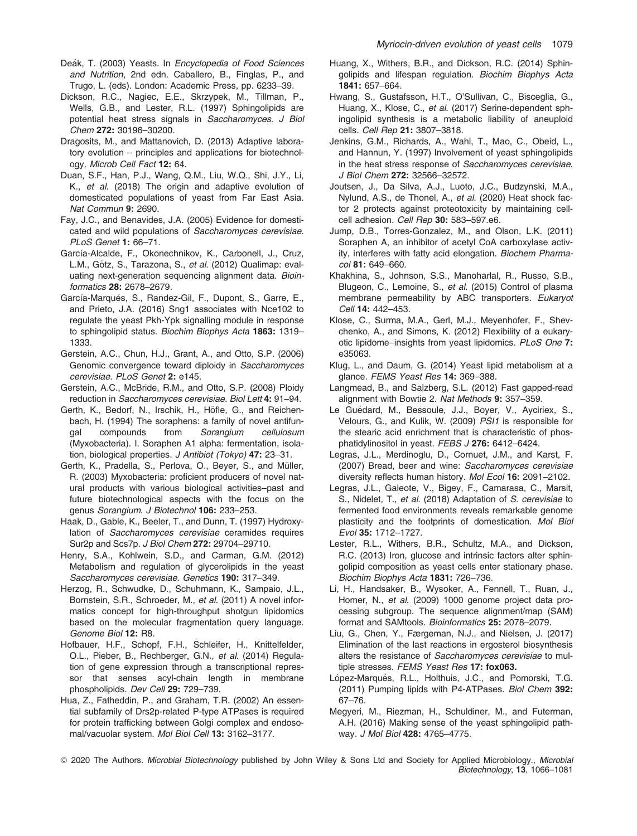- Deák, T. (2003) Yeasts. In Encyclopedia of Food Sciences and Nutrition, 2nd edn. Caballero, B., Finglas, P., and Trugo, L. (eds). London: Academic Press, pp. 6233–39.
- Dickson, R.C., Nagiec, E.E., Skrzypek, M., Tillman, P., Wells, G.B., and Lester, R.L. (1997) Sphingolipids are potential heat stress signals in Saccharomyces. J Biol Chem 272: 30196–30200.
- Dragosits, M., and Mattanovich, D. (2013) Adaptive laboratory evolution – principles and applications for biotechnology. Microb Cell Fact 12: 64.
- Duan, S.F., Han, P.J., Wang, Q.M., Liu, W.Q., Shi, J.Y., Li, K., et al. (2018) The origin and adaptive evolution of domesticated populations of yeast from Far East Asia. Nat Commun 9: 2690.
- Fay, J.C., and Benavides, J.A. (2005) Evidence for domesticated and wild populations of Saccharomyces cerevisiae. PLoS Genet 1: 66–71.
- García-Alcalde, F., Okonechnikov, K., Carbonell, J., Cruz, L.M., Götz, S., Tarazona, S., et al. (2012) Qualimap: evaluating next-generation sequencing alignment data. Bioinformatics 28: 2678–2679.
- García-Marqués, S., Randez-Gil, F., Dupont, S., Garre, E., and Prieto, J.A. (2016) Sng1 associates with Nce102 to regulate the yeast Pkh-Ypk signalling module in response to sphingolipid status. Biochim Biophys Acta 1863: 1319-1333.
- Gerstein, A.C., Chun, H.J., Grant, A., and Otto, S.P. (2006) Genomic convergence toward diploidy in Saccharomyces cerevisiae. PLoS Genet 2: e145.
- Gerstein, A.C., McBride, R.M., and Otto, S.P. (2008) Ploidy reduction in Saccharomyces cerevisiae. Biol Lett 4: 91–94.
- Gerth, K., Bedorf, N., Irschik, H., Höfle, G., and Reichenbach, H. (1994) The soraphens: a family of novel antifungal compounds from Sorangium cellulosum (Myxobacteria). I. Soraphen A1 alpha: fermentation, isolation, biological properties. J Antibiot (Tokyo) 47: 23–31.
- Gerth, K., Pradella, S., Perlova, O., Beyer, S., and Müller, R. (2003) Myxobacteria: proficient producers of novel natural products with various biological activities–past and future biotechnological aspects with the focus on the genus Sorangium. J Biotechnol 106: 233–253.
- Haak, D., Gable, K., Beeler, T., and Dunn, T. (1997) Hydroxylation of Saccharomyces cerevisiae ceramides requires Sur2p and Scs7p. J Biol Chem 272: 29704–29710.
- Henry, S.A., Kohlwein, S.D., and Carman, G.M. (2012) Metabolism and regulation of glycerolipids in the yeast Saccharomyces cerevisiae. Genetics 190: 317–349.
- Herzog, R., Schwudke, D., Schuhmann, K., Sampaio, J.L., Bornstein, S.R., Schroeder, M., et al. (2011) A novel informatics concept for high-throughput shotgun lipidomics based on the molecular fragmentation query language. Genome Biol 12: R8.
- Hofbauer, H.F., Schopf, F.H., Schleifer, H., Knittelfelder, O.L., Pieber, B., Rechberger, G.N., et al. (2014) Regulation of gene expression through a transcriptional repressor that senses acyl-chain length in membrane phospholipids. Dev Cell 29: 729-739.
- Hua, Z., Fatheddin, P., and Graham, T.R. (2002) An essential subfamily of Drs2p-related P-type ATPases is required for protein trafficking between Golgi complex and endosomal/vacuolar system. Mol Biol Cell 13: 3162–3177.
- Huang, X., Withers, B.R., and Dickson, R.C. (2014) Sphingolipids and lifespan regulation. Biochim Biophys Acta 1841: 657–664.
- Hwang, S., Gustafsson, H.T., O'Sullivan, C., Bisceglia, G., Huang, X., Klose, C., et al. (2017) Serine-dependent sphingolipid synthesis is a metabolic liability of aneuploid cells. Cell Rep 21: 3807–3818.
- Jenkins, G.M., Richards, A., Wahl, T., Mao, C., Obeid, L., and Hannun, Y. (1997) Involvement of yeast sphingolipids in the heat stress response of Saccharomyces cerevisiae. J Biol Chem 272: 32566–32572.
- Joutsen, J., Da Silva, A.J., Luoto, J.C., Budzynski, M.A., Nylund, A.S., de Thonel, A., et al. (2020) Heat shock factor 2 protects against proteotoxicity by maintaining cellcell adhesion. Cell Rep 30: 583-597.e6.
- Jump, D.B., Torres-Gonzalez, M., and Olson, L.K. (2011) Soraphen A, an inhibitor of acetyl CoA carboxylase activity, interferes with fatty acid elongation. Biochem Pharmacol 81: 649–660.
- Khakhina, S., Johnson, S.S., Manoharlal, R., Russo, S.B., Blugeon, C., Lemoine, S., et al. (2015) Control of plasma membrane permeability by ABC transporters. Eukaryot Cell 14: 442–453.
- Klose, C., Surma, M.A., Gerl, M.J., Meyenhofer, F., Shevchenko, A., and Simons, K. (2012) Flexibility of a eukaryotic lipidome–insights from yeast lipidomics. PLoS One 7: e35063.
- Klug, L., and Daum, G. (2014) Yeast lipid metabolism at a glance. FEMS Yeast Res 14: 369–388.
- Langmead, B., and Salzberg, S.L. (2012) Fast gapped-read alignment with Bowtie 2. Nat Methods 9: 357–359.
- Le Guédard, M., Bessoule, J.J., Boyer, V., Ayciriex, S., Velours, G., and Kulik, W. (2009) PSI1 is responsible for the stearic acid enrichment that is characteristic of phosphatidylinositol in yeast. FEBS J 276: 6412–6424.
- Legras, J.L., Merdinoglu, D., Cornuet, J.M., and Karst, F. (2007) Bread, beer and wine: Saccharomyces cerevisiae diversity reflects human history. Mol Ecol 16: 2091-2102.
- Legras, J.L., Galeote, V., Bigey, F., Camarasa, C., Marsit, S., Nidelet, T., et al. (2018) Adaptation of S. cerevisiae to fermented food environments reveals remarkable genome plasticity and the footprints of domestication. Mol Biol Evol 35: 1712–1727.
- Lester, R.L., Withers, B.R., Schultz, M.A., and Dickson, R.C. (2013) Iron, glucose and intrinsic factors alter sphingolipid composition as yeast cells enter stationary phase. Biochim Biophys Acta 1831: 726–736.
- Li, H., Handsaker, B., Wysoker, A., Fennell, T., Ruan, J., Homer, N., et al. (2009) 1000 genome project data processing subgroup. The sequence alignment/map (SAM) format and SAMtools. Bioinformatics 25: 2078–2079.
- Liu, G., Chen, Y., Færgeman, N.J., and Nielsen, J. (2017) Elimination of the last reactions in ergosterol biosynthesis alters the resistance of Saccharomyces cerevisiae to multiple stresses. FEMS Yeast Res 17: fox063.
- López-Marqués, R.L., Holthuis, J.C., and Pomorski, T.G. (2011) Pumping lipids with P4-ATPases. Biol Chem 392: 67–76.
- Megyeri, M., Riezman, H., Schuldiner, M., and Futerman, A.H. (2016) Making sense of the yeast sphingolipid pathway. J Mol Biol 428: 4765–4775.

<sup>© 2020</sup> The Authors. Microbial Biotechnology published by John Wiley & Sons Ltd and Society for Applied Microbiology., Microbial Biotechnology, 13, 1066–1081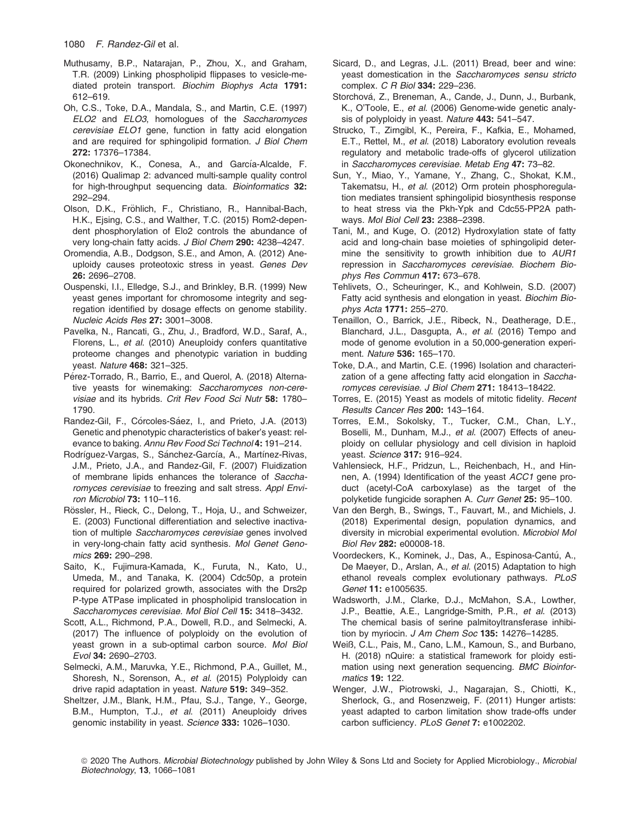- Muthusamy, B.P., Natarajan, P., Zhou, X., and Graham, T.R. (2009) Linking phospholipid flippases to vesicle-mediated protein transport. Biochim Biophys Acta 1791: 612–619.
- Oh, C.S., Toke, D.A., Mandala, S., and Martin, C.E. (1997) ELO2 and ELO3, homologues of the Saccharomyces cerevisiae ELO1 gene, function in fatty acid elongation and are required for sphingolipid formation. J Biol Chem 272: 17376–17384.
- Okonechnikov, K., Conesa, A., and García-Alcalde, F. (2016) Qualimap 2: advanced multi-sample quality control for high-throughput sequencing data. Bioinformatics 32: 292–294.
- Olson, D.K., Fröhlich, F., Christiano, R., Hannibal-Bach, H.K., Ejsing, C.S., and Walther, T.C. (2015) Rom2-dependent phosphorylation of Elo2 controls the abundance of very long-chain fatty acids. J Biol Chem 290: 4238–4247.
- Oromendia, A.B., Dodgson, S.E., and Amon, A. (2012) Aneuploidy causes proteotoxic stress in yeast. Genes Dev 26: 2696–2708.
- Ouspenski, I.I., Elledge, S.J., and Brinkley, B.R. (1999) New yeast genes important for chromosome integrity and segregation identified by dosage effects on genome stability. Nucleic Acids Res 27: 3001–3008.
- Pavelka, N., Rancati, G., Zhu, J., Bradford, W.D., Saraf, A., Florens, L., et al. (2010) Aneuploidy confers quantitative proteome changes and phenotypic variation in budding yeast. Nature 468: 321–325.
- Pérez-Torrado, R., Barrio, E., and Querol, A. (2018) Alternative yeasts for winemaking: Saccharomyces non-cerevisiae and its hybrids. Crit Rev Food Sci Nutr 58: 1780– 1790.
- Randez-Gil, F., Córcoles-Sáez, I., and Prieto, J.A. (2013) Genetic and phenotypic characteristics of baker's yeast: relevance to baking. Annu Rev Food Sci Technol 4: 191–214.
- Rodríguez-Vargas, S., Sánchez-García, A., Martínez-Rivas, J.M., Prieto, J.A., and Randez-Gil, F. (2007) Fluidization of membrane lipids enhances the tolerance of Saccharomyces cerevisiae to freezing and salt stress. Appl Environ Microbiol 73: 110–116.
- Rössler, H., Rieck, C., Delong, T., Hoja, U., and Schweizer, E. (2003) Functional differentiation and selective inactivation of multiple Saccharomyces cerevisiae genes involved in very-long-chain fatty acid synthesis. Mol Genet Genomics 269: 290–298.
- Saito, K., Fujimura-Kamada, K., Furuta, N., Kato, U., Umeda, M., and Tanaka, K. (2004) Cdc50p, a protein required for polarized growth, associates with the Drs2p P-type ATPase implicated in phospholipid translocation in Saccharomyces cerevisiae. Mol Biol Cell 15: 3418–3432.
- Scott, A.L., Richmond, P.A., Dowell, R.D., and Selmecki, A. (2017) The influence of polyploidy on the evolution of yeast grown in a sub-optimal carbon source. Mol Biol Evol 34: 2690–2703.
- Selmecki, A.M., Maruvka, Y.E., Richmond, P.A., Guillet, M., Shoresh, N., Sorenson, A., et al. (2015) Polyploidy can drive rapid adaptation in yeast. Nature 519: 349–352.
- Sheltzer, J.M., Blank, H.M., Pfau, S.J., Tange, Y., George, B.M., Humpton, T.J., et al. (2011) Aneuploidy drives genomic instability in yeast. Science 333: 1026–1030.
- Sicard, D., and Legras, J.L. (2011) Bread, beer and wine: yeast domestication in the Saccharomyces sensu stricto complex. C R Biol 334: 229–236.
- Storchová, Z., Breneman, A., Cande, J., Dunn, J., Burbank, K., O'Toole, E., et al. (2006) Genome-wide genetic analysis of polyploidy in yeast. Nature 443: 541–547.
- Strucko, T., Zirngibl, K., Pereira, F., Kafkia, E., Mohamed, E.T., Rettel, M., et al. (2018) Laboratory evolution reveals regulatory and metabolic trade-offs of glycerol utilization in Saccharomyces cerevisiae. Metab Eng 47: 73–82.
- Sun, Y., Miao, Y., Yamane, Y., Zhang, C., Shokat, K.M., Takematsu, H., et al. (2012) Orm protein phosphoregulation mediates transient sphingolipid biosynthesis response to heat stress via the Pkh-Ypk and Cdc55-PP2A pathways. Mol Biol Cell 23: 2388–2398.
- Tani, M., and Kuge, O. (2012) Hydroxylation state of fatty acid and long-chain base moieties of sphingolipid determine the sensitivity to growth inhibition due to AUR1 repression in Saccharomyces cerevisiae. Biochem Biophys Res Commun 417: 673–678.
- Tehlivets, O., Scheuringer, K., and Kohlwein, S.D. (2007) Fatty acid synthesis and elongation in yeast. Biochim Biophys Acta 1771: 255–270.
- Tenaillon, O., Barrick, J.E., Ribeck, N., Deatherage, D.E., Blanchard, J.L., Dasgupta, A., et al. (2016) Tempo and mode of genome evolution in a 50,000-generation experiment. Nature 536: 165–170.
- Toke, D.A., and Martin, C.E. (1996) Isolation and characterization of a gene affecting fatty acid elongation in Saccharomyces cerevisiae. J Biol Chem 271: 18413–18422.
- Torres, E. (2015) Yeast as models of mitotic fidelity. Recent Results Cancer Res 200: 143–164.
- Torres, E.M., Sokolsky, T., Tucker, C.M., Chan, L.Y., Boselli, M., Dunham, M.J., et al. (2007) Effects of aneuploidy on cellular physiology and cell division in haploid yeast. Science 317: 916–924.
- Vahlensieck, H.F., Pridzun, L., Reichenbach, H., and Hinnen, A. (1994) Identification of the yeast ACC1 gene product (acetyl-CoA carboxylase) as the target of the polyketide fungicide soraphen A. Curr Genet 25: 95–100.
- Van den Bergh, B., Swings, T., Fauvart, M., and Michiels, J. (2018) Experimental design, population dynamics, and diversity in microbial experimental evolution. Microbiol Mol Biol Rev 282: e00008-18.
- Voordeckers, K., Kominek, J., Das, A., Espinosa-Cantú, A., De Maeyer, D., Arslan, A., et al. (2015) Adaptation to high ethanol reveals complex evolutionary pathways. PLoS Genet 11: e1005635.
- Wadsworth, J.M., Clarke, D.J., McMahon, S.A., Lowther, J.P., Beattie, A.E., Langridge-Smith, P.R., et al. (2013) The chemical basis of serine palmitoyltransferase inhibition by myriocin. J Am Chem Soc 135: 14276-14285.
- Weiß, C.L., Pais, M., Cano, L.M., Kamoun, S., and Burbano, H. (2018) nQuire: a statistical framework for ploidy estimation using next generation sequencing. BMC Bioinformatics 19: 122.
- Wenger, J.W., Piotrowski, J., Nagarajan, S., Chiotti, K., Sherlock, G., and Rosenzweig, F. (2011) Hunger artists: yeast adapted to carbon limitation show trade-offs under carbon sufficiency. PLoS Genet 7: e1002202.

<sup>© 2020</sup> The Authors. Microbial Biotechnology published by John Wiley & Sons Ltd and Society for Applied Microbiology., Microbial Biotechnology, 13, 1066–1081